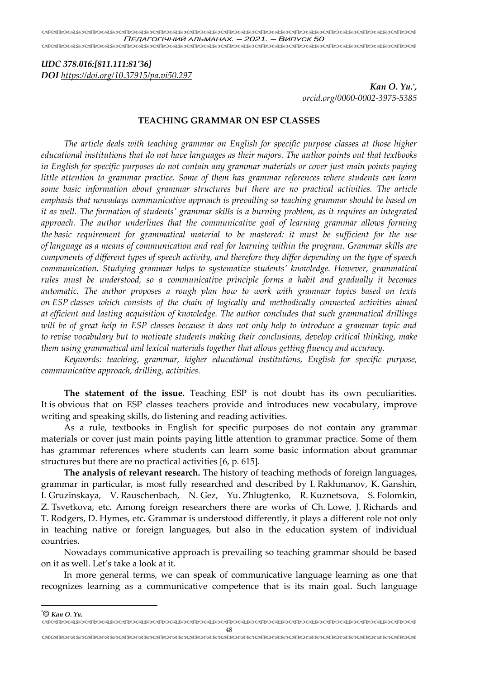*UDC 378.016:[811.111:81'36]*

*DOI https://doi.org/10.37915/pa.vi50.297*

*Kan O. Yu.*\* *, orcid.org/0000-0002-3975-5385*

### **TEACHING GRAMMAR ON ESP CLASSES**

*The article deals with teaching grammar on English for specific purpose classes at those higher educational institutions that do not have languages as their majors. The author points out that textbooks in English for specific purposes do not contain any grammar materials or cover just main points paying little attention to grammar practice. Some of them has grammar references where students can learn some basic information about grammar structures but there are no practical activities. The article emphasis that nowadays communicative approach is prevailing so teaching grammar should be based on it as well. The formation of students' grammar skills is a burning problem, as it requires an integrated approach. The author underlines that the communicative goal of learning grammar allows forming the basic requirement for grammatical material to be mastered: it must be sufficient for the use of language as a means of communication and real for learning within the program. Grammar skills are components of different types of speech activity, and therefore they differ depending on the type of speech communication. Studying grammar helps to systematize students' knowledge. However, grammatical rules must be understood, so a communicative principle forms a habit and gradually it becomes automatic. The author proposes a rough plan how to work with grammar topics based on texts on ESP classes which consists of the chain of logically and methodically connected activities aimed at efficient and lasting acquisition of knowledge. The author concludes that such grammatical drillings will be of great help in ESP classes because it does not only help to introduce a grammar topic and to revise vocabulary but to motivate students making their conclusions, develop critical thinking, make them using grammatical and lexical materials together that allows getting fluency and accuracy.*

*Keywords: teaching, grammar, higher educational institutions, English for specific purpose, communicative approach, drilling, activities.*

**The statement of the issue.** Teaching ESP is not doubt has its own peculiarities. It is obvious that on ESP classes teachers provide and introduces new vocabulary, improve writing and speaking skills, do listening and reading activities.

As a rule, textbooks in English for specific purposes do not contain any grammar materials or cover just main points paying little attention to grammar practice. Some of them has grammar references where students can learn some basic information about grammar structures but there are no practical activities [6, р. 615].

**The analysis of relevant research.** The history of teaching methods of foreign languages, grammar in particular, is most fully researched and described by I. Rakhmanov, K. Ganshin, I. Gruzinskaya, V. Rauschenbach, N. Gez, Yu. Zhlugtenko, R. Kuznetsova, S. Folomkin, Z. Tsvetkova, etc. Among foreign researchers there are works of Ch. Lowe, J. Richards and T. Rodgers, D. Hymes, etc. Grammar is understood differently, it plays a different role not only in teaching native or foreign languages, but also in the education system of individual countries.

Nowadays communicative approach is prevailing so teaching grammar should be based on it as well. Let's take a look at it.

In more general terms, we can speak of communicative language learning as one that recognizes learning as a communicative competence that is its main goal. Such language

48 \*© *Kan O. Yu.*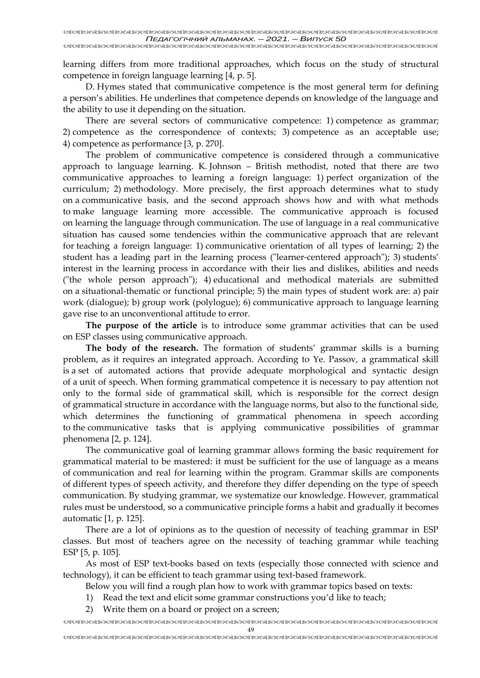learning differs from more traditional approaches, which focus on the study of structural competence in foreign language learning [4, р. 5].

D. Hymes stated that communicative competence is the most general term for defining a person's abilities. He underlines that competence depends on knowledge of the language and the ability to use it depending on the situation.

There are several sectors of communicative competence: 1) competence as grammar; 2) competence as the correspondence of contexts; 3) competence as an acceptable use; 4) competence as performance [3, p. 270].

The problem of communicative competence is considered through a communicative approach to language learning. K. Johnson – British methodist, noted that there are two communicative approaches to learning a foreign language: 1) perfect organization of the curriculum; 2) methodology. More precisely, the first approach determines what to study on a communicative basis, and the second approach shows how and with what methods to make language learning more accessible. The communicative approach is focused on learning the language through communication. The use of language in a real communicative situation has caused some tendencies within the communicative approach that are relevant for teaching a foreign language: 1) communicative orientation of all types of learning; 2) the student has a leading part in the learning process ("learner-centered approach"); 3) students' interest in the learning process in accordance with their lies and dislikes, abilities and needs ("the whole person approach"); 4) educational and methodical materials are submitted on a situational-thematic or functional principle; 5) the main types of student work are: a) pair work (dialogue); b) group work (polylogue); 6) communicative approach to language learning gave rise to an unconventional attitude to error.

**The purpose of the article** is to introduce some grammar activities that can be used on ESP classes using communicative approach.

**The body of the research.** The formation of students' grammar skills is a burning problem, as it requires an integrated approach. According to Ye. Passov, a grammatical skill is a set of automated actions that provide adequate morphological and syntactic design of a unit of speech. When forming grammatical competence it is necessary to pay attention not only to the formal side of grammatical skill, which is responsible for the correct design of grammatical structure in accordance with the language norms, but also to the functional side, which determines the functioning of grammatical phenomena in speech according to the communicative tasks that is applying communicative possibilities of grammar phenomena [2, р. 124].

The communicative goal of learning grammar allows forming the basic requirement for grammatical material to be mastered: it must be sufficient for the use of language as a means of communication and real for learning within the program. Grammar skills are components of different types of speech activity, and therefore they differ depending on the type of speech communication. By studying grammar, we systematize our knowledge. However, grammatical rules must be understood, so a communicative principle forms a habit and gradually it becomes automatic [1, р. 125].

There are a lot of opinions as to the question of necessity of teaching grammar in ESP classes. But most of teachers agree on the necessity of teaching grammar while teaching ESP [5, р. 105].

As most of ESP text-books based on texts (especially those connected with science and technology), it can be efficient to teach grammar using text-based framework.

Below you will find a rough plan how to work with grammar topics based on texts:

1) Read the text and elicit some grammar constructions you'd like to teach;

2) Write them on a board or project on a screen;

 49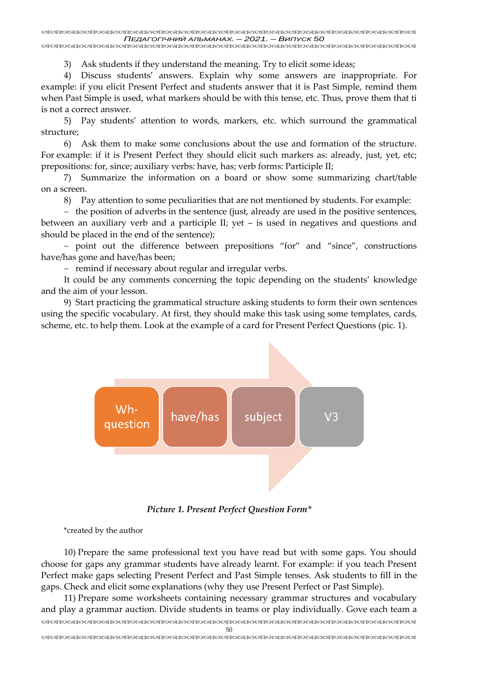<u>UIUNDANDUN NONDONDON NONDONDON NONDONDONDON NONDONDONDONDONDON</u>

3) Ask students if they understand the meaning. Try to elicit some ideas;

4) Discuss students' answers. Explain why some answers are inappropriate. For example: if you elicit Present Perfect and students answer that it is Past Simple, remind them when Past Simple is used, what markers should be with this tense, etc. Thus, prove them that ti is not a correct answer.

5) Pay students' attention to words, markers, etc. which surround the grammatical structure;

6) Ask them to make some conclusions about the use and formation of the structure. For example: if it is Present Perfect they should elicit such markers as: already, just, yet, etc; prepositions: for, since; auxiliary verbs: have, has; verb forms: Participle II;

7) Summarize the information on a board or show some summarizing chart/table on a screen.

8) Pay attention to some peculiarities that are not mentioned by students. For example:

− the position of adverbs in the sentence (just, already are used in the positive sentences, between an auxiliary verb and a participle II; yet – is used in negatives and questions and should be placed in the end of the sentence);

− point out the difference between prepositions "for" and "since", constructions have/has gone and have/has been;

− remind if necessary about regular and irregular verbs.

It could be any comments concerning the topic depending on the students' knowledge and the aim of your lesson.

9) Start practicing the grammatical structure asking students to form their own sentences using the specific vocabulary. At first, they should make this task using some templates, cards, scheme, etc. to help them. Look at the example of a card for Present Perfect Questions (pic. 1).



*Picture 1. Present Perfect Question Form\**

\*created by the author

10) Prepare the same professional text you have read but with some gaps. You should choose for gaps any grammar students have already learnt. For example: if you teach Present Perfect make gaps selecting Present Perfect and Past Simple tenses. Ask students to fill in the gaps. Check and elicit some explanations (why they use Present Perfect or Past Simple).

 11) Prepare some worksheets containing necessary grammar structures and vocabulary and play a grammar auction. Divide students in teams or play individually. Gove each team a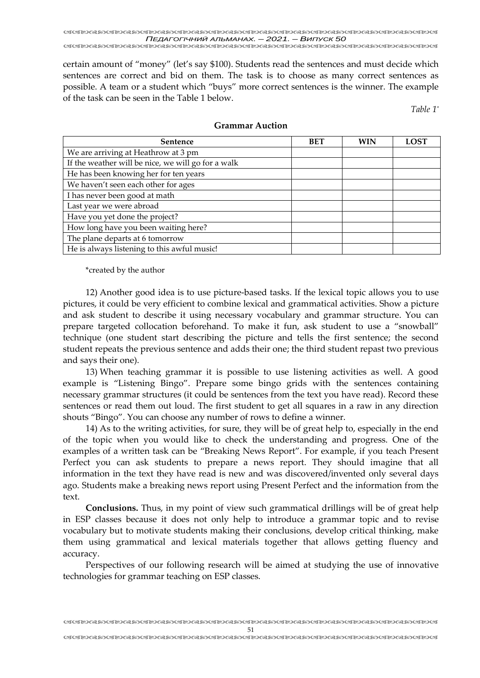<u> RRIDURDARDURDARDARDURDARDURDURDURDURDARDURDURDURDURDURDURDUR</u> *ПЕДАГОГІЧНИЙ АЛЬМАНАХ. – 2021. – ВИПУСК 50*

certain amount of "money" (let's say \$100). Students read the sentences and must decide which sentences are correct and bid on them. The task is to choose as many correct sentences as possible. A team or a student which "buys" more correct sentences is the winner. The example of the task can be seen in the Table 1 below.

*Table 1\**

| <b>Sentence</b>                                    | <b>BET</b> | WIN | <b>LOST</b> |
|----------------------------------------------------|------------|-----|-------------|
| We are arriving at Heathrow at 3 pm                |            |     |             |
| If the weather will be nice, we will go for a walk |            |     |             |
| He has been knowing her for ten years              |            |     |             |
| We haven't seen each other for ages                |            |     |             |
| I has never been good at math                      |            |     |             |
| Last year we were abroad                           |            |     |             |
| Have you yet done the project?                     |            |     |             |
| How long have you been waiting here?               |            |     |             |
| The plane departs at 6 tomorrow                    |            |     |             |
| He is always listening to this awful music!        |            |     |             |

#### **Grammar Auction**

\*created by the author

12) Another good idea is to use picture-based tasks. If the lexical topic allows you to use pictures, it could be very efficient to combine lexical and grammatical activities. Show a picture and ask student to describe it using necessary vocabulary and grammar structure. You can prepare targeted collocation beforehand. To make it fun, ask student to use a "snowball" technique (one student start describing the picture and tells the first sentence; the second student repeats the previous sentence and adds their one; the third student repast two previous and says their one).

13) When teaching grammar it is possible to use listening activities as well. A good example is "Listening Bingo". Prepare some bingo grids with the sentences containing necessary grammar structures (it could be sentences from the text you have read). Record these sentences or read them out loud. The first student to get all squares in a raw in any direction shouts "Bingo". You can choose any number of rows to define a winner.

14) As to the writing activities, for sure, they will be of great help to, especially in the end of the topic when you would like to check the understanding and progress. One of the examples of a written task can be "Breaking News Report". For example, if you teach Present Perfect you can ask students to prepare a news report. They should imagine that all information in the text they have read is new and was discovered/invented only several days ago. Students make a breaking news report using Present Perfect and the information from the text.

**Conclusions.** Thus, in my point of view such grammatical drillings will be of great help in ESP classes because it does not only help to introduce a grammar topic and to revise vocabulary but to motivate students making their conclusions, develop critical thinking, make them using grammatical and lexical materials together that allows getting fluency and accuracy.

Perspectives of our following research will be aimed at studying the use of innovative technologies for grammar teaching on ESP classes.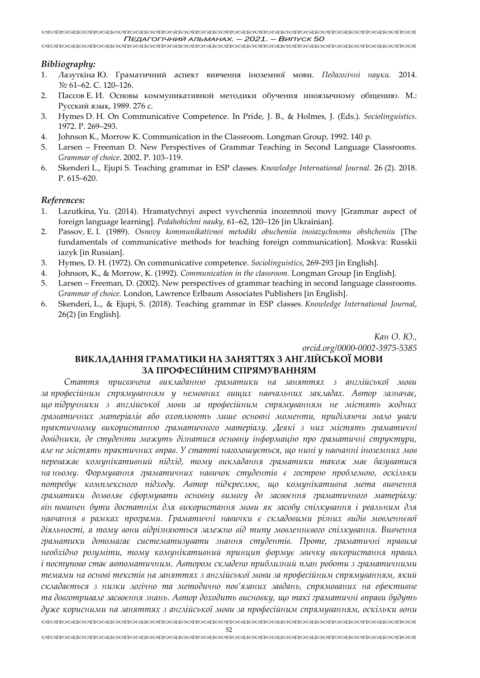## *Bibliography:*

- 1. Лазуткіна Ю. Граматичний аспект вивчення іноземної мови. *Педагогічні науки.* 2014. № 61–62. С. 120–126.
- 2. Пассов Е. И. Основы коммуникативной методики обучения иноязычному общению. М.: Русский язык, 1989. 276 с.
- 3. Hymes D. H. On Communicative Competence. In Pride, J. B., & Holmes, J. (Eds.). *Sociolinguistics*. 1972. P. 269–293.
- 4. Johnson K., Morrow K. Communication in the Classroom. Longman Group, 1992. 140 p.
- 5. Larsen Freeman D. New Perspectives of Grammar Teaching in Second Language Classrooms. *Grammar of choice*. 2002. P. 103–119.
- 6. Skenderi L., Ejupi S. Teaching grammar in ESP classes. *Knowledge International Journal*. 26 (2). 2018. P. 615–620.

#### *References:*

- 1. Lazutkina, Yu. (2014). Hramatychnyi aspect vyvchennia inozemnoii movy [Grammar aspect of foreign language learning]. *Pedahohichni nauky,* 61–62, 120–126 [in Ukrainian].
- 2. Passov, E. I. (1989). *Osnovy kommunikativnoi metodiki obucheniia inoiazychnomu obshcheniiu* [The fundamentals of communicative methods for teaching foreign communication]. Moskva: Russkii iazyk [in Russian].
- 3. Hymes, D. H. (1972). On communicative competence. *Sociolinguistics*, 269-293 [in English].
- 4. Johnson, K., & Morrow, K. (1992). *Communication in the classroom.* Longman Group [in English].
- 5. Larsen Freeman, D. (2002). New perspectives of grammar teaching in second language classrooms. *Grammar of choice.* London, Lawrence Erlbaum Associates Publishers [in English].
- 6. Skenderi, L., & Ejupi, S. (2018). Teaching grammar in ESP classes. *Knowledge International Journal*, 26(2) [in English].

*Кан О. Ю., [orcid.org/0000-0002-3975-5385](https://orcid.org/0000-0002-3975-5385)*

# **ВИКЛАДАННЯ ГРАМАТИКИ НА ЗАНЯТТЯХ З АНГЛІЙСЬКОЇ МОВИ ЗА ПРОФЕСІЙНИМ СПРЯМУВАННЯМ**

 *Стаття присвячена викладанню граматики на заняттях з англійської мови за професійним спрямуванням у немовних вищих навчальних закладах. Автор зазначає, що підручники з англійської мови за професійним спрямуванням не містять жодних граматичних матеріалів або охоплюють лише основні моменти, приділяючи мало уваги практичному використанню граматичного матеріалу. Деякі з них містять граматичні довідники, де студенти можуть дізнатися основну інформацію про граматичні структури, але не містять практичних вправ. У статті наголошується, що нині у навчанні іноземних мов переважає комунікативний підхід, тому викладання граматики також має базуватися на ньому. Формування граматичних навичок студентів є гострою проблемою, оскільки потребує комплексного підходу. Автор підкреслює, що комунікативна мета вивчення граматики дозволяє сформувати основну вимогу до засвоєння граматичного матеріалу: він повинен бути достатнім для використання мови як засобу спілкування і реальним для навчання в рамках програми. Граматичні навички є складовими різних видів мовленнєвої діяльності, а тому вони відрізняються залежно від типу мовленнєвого спілкування. Вивчення граматики допомагає систематизувати знання студентів. Проте, граматичні правила необхідно розуміти, тому комунікативний принцип формує звичку використання правил і поступово стає автоматичним. Автором складено приблизний план роботи з граматичними темами на основі текстів на заняттях з англійської мови за професійним спрямуванням, який складається з низки логічно та методично пов'язаних завдань, спрямованих на ефективне та довготривале засвоєння знань. Автор доходить висновку, що такі граматичні вправи будуть дуже корисними на заняттях з англійської мови за професійним спрямуванням, оскільки вони*